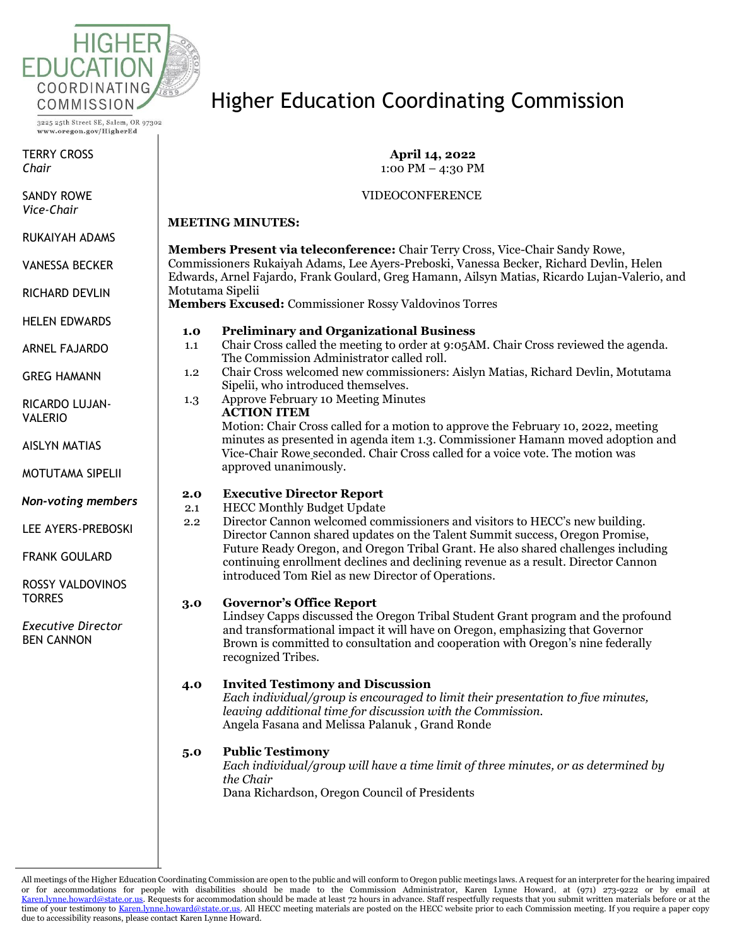

TERRY CROSS *Chair*

SANDY ROWE *Vice-Chair*

RUKAIYAH ADAMS

VANESSA BECKER

RICHARD DEVLIN

HELEN EDWARDS

ARNEL FAJARDO

GREG HAMANN

RICARDO LUJAN-VALERIO

AISLYN MATIAS

MOTUTAMA SIPELII

*Non-voting members*

LEE AYERS-PREBOSKI

FRANK GOULARD

ROSSY VALDOVINOS **TORRES** 

*Executive Director* BEN CANNON

# Higher Education Coordinating Commission

**April 14, 2022** 1:00 PM – 4:30 PM

VIDEOCONFERENCE

#### **MEETING MINUTES:**

**Members Present via teleconference:** Chair Terry Cross, Vice-Chair Sandy Rowe, Commissioners Rukaiyah Adams, Lee Ayers-Preboski, Vanessa Becker, Richard Devlin, Helen Edwards, Arnel Fajardo, Frank Goulard, Greg Hamann, Ailsyn Matias, Ricardo Lujan-Valerio, and Motutama Sipelii

**Members Excused:** Commissioner Rossy Valdovinos Torres

## **1.0 Preliminary and Organizational Business**

- 1.1 Chair Cross called the meeting to order at 9:05AM. Chair Cross reviewed the agenda. The Commission Administrator called roll.
- 1.2 Chair Cross welcomed new commissioners: Aislyn Matias, Richard Devlin, Motutama Sipelii, who introduced themselves.
- 1.3 Approve February 10 Meeting Minutes

#### **ACTION ITEM**

Motion: Chair Cross called for a motion to approve the February 10, 2022, meeting minutes as presented in agenda item 1.3. Commissioner Hamann moved adoption and Vice-Chair Rowe seconded. Chair Cross called for a voice vote. The motion was approved unanimously.

## **2.0 Executive Director Report**

- 2.1 HECC Monthly Budget Update
- 2.2 Director Cannon welcomed commissioners and visitors to HECC's new building. Director Cannon shared updates on the Talent Summit success, Oregon Promise, Future Ready Oregon, and Oregon Tribal Grant. He also shared challenges including continuing enrollment declines and declining revenue as a result. Director Cannon introduced Tom Riel as new Director of Operations.

## **3.0 Governor's Office Report**

Lindsey Capps discussed the Oregon Tribal Student Grant program and the profound and transformational impact it will have on Oregon, emphasizing that Governor Brown is committed to consultation and cooperation with Oregon's nine federally recognized Tribes.

## **4.0 Invited Testimony and Discussion**

*Each individual/group is encouraged to limit their presentation to five minutes, leaving additional time for discussion with the Commission.* Angela Fasana and Melissa Palanuk , Grand Ronde

## **5.0 Public Testimony**

*Each individual/group will have a time limit of three minutes, or as determined by the Chair* Dana Richardson, Oregon Council of Presidents

All meetings of the Higher Education Coordinating Commission are open to the public and will conform to Oregon public meetings laws. A request for an interpreter for the hearing impaired or for accommodations for people with disabilities should be made to the Commission Administrator, Karen Lynne Howard, at (971) 273-9222 or by email at [Karen.lynne.howard@state.or.us.](mailto:Karen.lynne.howard@state.or.us) Requests for accommodation should be made at least 72 hours in advance. Staff respectfully requests that you submit written materials before or at the time of your testimony t[o Karen.lynne.howard@state.or.us.](mailto:Karen.lynne.howard@state.or.us) All HECC meeting materials are posted on the HECC website prior to each Commission meeting. If you require a paper copy due to accessibility reasons, please contact Karen Lynne Howard.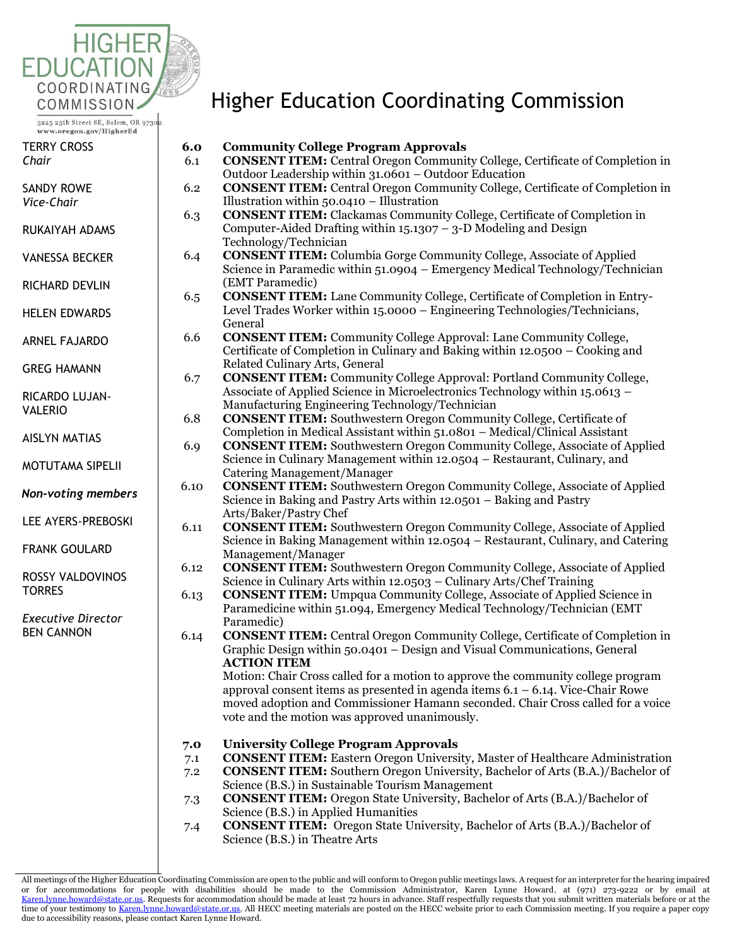

| TERRY CROSS |  |
|-------------|--|
| Chair       |  |

| SANDY ROWE |  |
|------------|--|
| Vice-Chair |  |

- RUKAIYAH ADAMS
- VANESSA BECKER

RICHARD DEVLIN

HELEN EDWARDS

- ARNEL FAJARDO
- GREG HAMANN
- RICARDO LUJAN-VALERIO
- AISLYN MATIAS
- MOTUTAMA SIPELII
- *Non-voting members*
- LEE AYERS-PREBOSKI
- FRANK GOULARD
- ROSSY VALDOVINOS **TORRES**

*Executive Director* BEN CANNON

# Higher Education Coordinating Commission

**6.0 Community College Program Approvals** 

| 6.1  | <b>CONSENT ITEM:</b> Central Oregon Community College, Certificate of Completion in               |
|------|---------------------------------------------------------------------------------------------------|
|      | Outdoor Leadership within 31.0601 - Outdoor Education                                             |
| 6.2  | <b>CONSENT ITEM:</b> Central Oregon Community College, Certificate of Completion in               |
|      | Illustration within $50.0410 -$ Illustration                                                      |
| 6.3  | <b>CONSENT ITEM:</b> Clackamas Community College, Certificate of Completion in                    |
|      | Computer-Aided Drafting within $15.1307 - 3 - D$ Modeling and Design                              |
|      | Technology/Technician                                                                             |
| 6.4  | <b>CONSENT ITEM:</b> Columbia Gorge Community College, Associate of Applied                       |
|      | Science in Paramedic within 51.0904 – Emergency Medical Technology/Technician                     |
|      | (EMT Paramedic)                                                                                   |
| 6.5  | <b>CONSENT ITEM:</b> Lane Community College, Certificate of Completion in Entry-                  |
|      | Level Trades Worker within 15.0000 - Engineering Technologies/Technicians,                        |
|      | General                                                                                           |
| 6.6  | <b>CONSENT ITEM:</b> Community College Approval: Lane Community College,                          |
|      | Certificate of Completion in Culinary and Baking within 12.0500 – Cooking and                     |
|      | Related Culinary Arts, General                                                                    |
| 6.7  | <b>CONSENT ITEM:</b> Community College Approval: Portland Community College,                      |
|      | Associate of Applied Science in Microelectronics Technology within 15.0613 -                      |
|      | Manufacturing Engineering Technology/Technician                                                   |
| 6.8  | <b>CONSENT ITEM:</b> Southwestern Oregon Community College, Certificate of                        |
|      | Completion in Medical Assistant within 51.0801 - Medical/Clinical Assistant                       |
| 6.9  | <b>CONSENT ITEM:</b> Southwestern Oregon Community College, Associate of Applied                  |
|      | Science in Culinary Management within 12.0504 – Restaurant, Culinary, and                         |
|      | Catering Management/Manager                                                                       |
| 6.10 | <b>CONSENT ITEM:</b> Southwestern Oregon Community College, Associate of Applied                  |
|      | Science in Baking and Pastry Arts within 12.0501 - Baking and Pastry                              |
|      | Arts/Baker/Pastry Chef                                                                            |
| 6.11 | <b>CONSENT ITEM:</b> Southwestern Oregon Community College, Associate of Applied                  |
|      | Science in Baking Management within 12.0504 – Restaurant, Culinary, and Catering                  |
|      | Management/Manager                                                                                |
| 6.12 | <b>CONSENT ITEM:</b> Southwestern Oregon Community College, Associate of Applied                  |
|      | Science in Culinary Arts within 12.0503 - Culinary Arts/Chef Training                             |
| 6.13 | <b>CONSENT ITEM:</b> Umpqua Community College, Associate of Applied Science in                    |
|      | Paramedicine within 51.094, Emergency Medical Technology/Technician (EMT)                         |
|      | Paramedic)<br><b>CONSENT ITEM:</b> Central Oregon Community College, Certificate of Completion in |
| 6.14 | Graphic Design within 50.0401 – Design and Visual Communications, General                         |
|      | <b>ACTION ITEM</b>                                                                                |
|      | Motion: Chair Cross called for a motion to approve the community college program                  |
|      | approval consent items as presented in agenda items $6.1 - 6.14$ . Vice-Chair Rowe                |
|      | moved adoption and Commissioner Hamann seconded. Chair Cross called for a voice                   |
|      | vote and the motion was approved unanimously.                                                     |
|      |                                                                                                   |
| 7.0  | <b>University College Program Approvals</b>                                                       |
| 7.1  | <b>CONSENT ITEM:</b> Eastern Oregon University, Master of Healthcare Administration               |
| 7.2  | <b>CONSENT ITEM:</b> Southern Oregon University, Bachelor of Arts (B.A.)/Bachelor of              |
|      | Science (B.S.) in Sustainable Tourism Management                                                  |
| 7.3  | <b>CONSENT ITEM:</b> Oregon State University, Bachelor of Arts (B.A.)/Bachelor of                 |
|      | Science (B.S.) in Applied Humanities                                                              |
| 7.4  | <b>CONSENT ITEM:</b> Oregon State University, Bachelor of Arts (B.A.)/Bachelor of                 |
|      | Science (B.S.) in Theatre Arts                                                                    |

All meetings of the Higher Education Coordinating Commission are open to the public and will conform to Oregon public meetings laws. A request for an interpreter for the hearing impaired or for accommodations for people with disabilities should be made to the Commission Administrator, Karen Lynne Howard, at (971) 273-9222 or by email at<br>Karen.lynne.howard@state.or.us.Requestsforaccommodationshouldbemadeatl time of your testimony t[o Karen.lynne.howard@state.or.us.](mailto:Karen.lynne.howard@state.or.us) All HECC meeting materials are posted on the HECC website prior to each Commission meeting. If you require a paper copy due to accessibility reasons, please contact Karen Lynne Howard.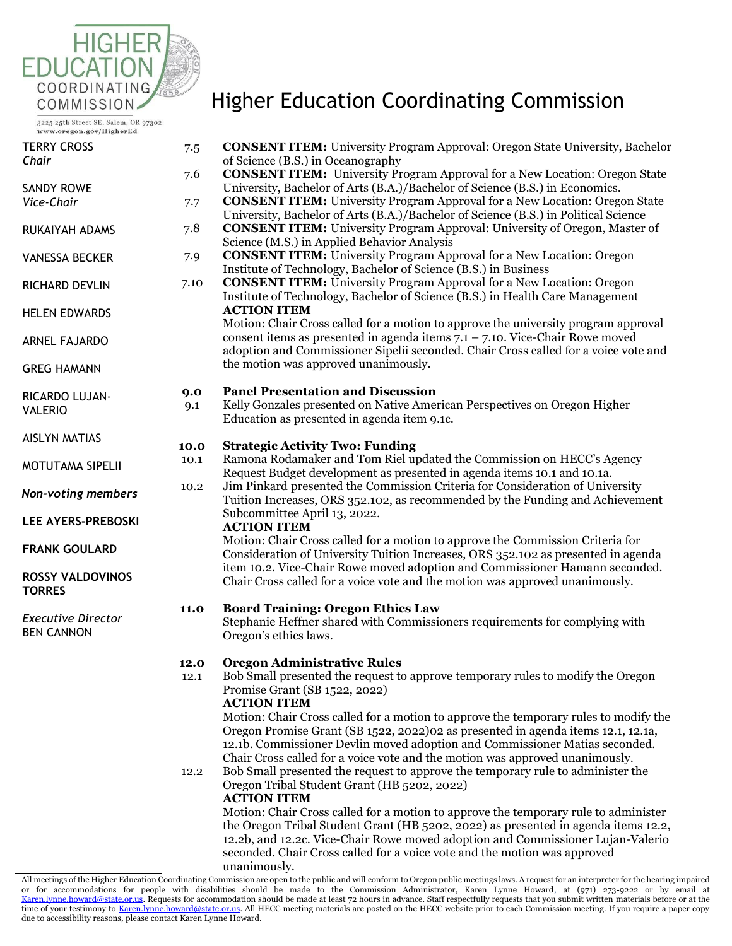

| TERRY CROSS |  |
|-------------|--|
| Chair       |  |

| SANDY ROWE   |  |
|--------------|--|
| 17. <i>.</i> |  |

*Vice-Chair*

- RUKAIYAH ADAMS
- VANESSA BECKER
- RICHARD DEVLIN
- HELEN EDWARDS

ARNEL FAJARDO

GREG HAMANN

- RICARDO LUJAN-VALERIO
- AISLYN MATIAS
- MOTUTAMA SIPELII

*Non-voting members*

**LEE AYERS-PREBOSKI** 

**FRANK GOULARD** 

## **ROSSY VALDOVINOS TORRES**

*Executive Director* BEN CANNON

# Higher Education Coordinating Commission

7.5 **CONSENT ITEM:** University Program Approval: Oregon State University, Bachelor

of Science (B.S.) in Oceanography 7.6 **CONSENT ITEM:** University Program Approval for a New Location: Oregon State University, Bachelor of Arts (B.A.)/Bachelor of Science (B.S.) in Economics. 7.7 **CONSENT ITEM:** University Program Approval for a New Location: Oregon State University, Bachelor of Arts (B.A.)/Bachelor of Science (B.S.) in Political Science 7.8 **CONSENT ITEM:** University Program Approval: University of Oregon, Master of Science (M.S.) in Applied Behavior Analysis 7.9 **CONSENT ITEM:** University Program Approval for a New Location: Oregon Institute of Technology, Bachelor of Science (B.S.) in Business 7.10 **CONSENT ITEM:** University Program Approval for a New Location: Oregon Institute of Technology, Bachelor of Science (B.S.) in Health Care Management **ACTION ITEM** Motion: Chair Cross called for a motion to approve the university program approval consent items as presented in agenda items  $7.1 - 7.10$ . Vice-Chair Rowe moved adoption and Commissioner Sipelii seconded. Chair Cross called for a voice vote and the motion was approved unanimously. **9.0 Panel Presentation and Discussion** 9.1 Kelly Gonzales presented on Native American Perspectives on Oregon Higher Education as presented in agenda item 9.1c. **10.0 Strategic Activity Two: Funding** 10.1 Ramona Rodamaker and Tom Riel updated the Commission on HECC's Agency Request Budget development as presented in agenda items 10.1 and 10.1a. 10.2 Jim Pinkard presented the Commission Criteria for Consideration of University Tuition Increases, ORS 352.102, as recommended by the Funding and Achievement Subcommittee April 13, 2022. **ACTION ITEM** Motion: Chair Cross called for a motion to approve the Commission Criteria for Consideration of University Tuition Increases, ORS 352.102 as presented in agenda item 10.2. Vice-Chair Rowe moved adoption and Commissioner Hamann seconded. Chair Cross called for a voice vote and the motion was approved unanimously. **11.0 Board Training: Oregon Ethics Law** Stephanie Heffner shared with Commissioners requirements for complying with Oregon's ethics laws. **12.0 Oregon Administrative Rules** 12.1 Bob Small presented the request to approve temporary rules to modify the Oregon Promise Grant (SB 1522, 2022) **ACTION ITEM** Motion: Chair Cross called for a motion to approve the temporary rules to modify the Oregon Promise Grant (SB 1522, 2022)02 as presented in agenda items 12.1, 12.1a, 12.1b. Commissioner Devlin moved adoption and Commissioner Matias seconded. Chair Cross called for a voice vote and the motion was approved unanimously. 12.2 Bob Small presented the request to approve the temporary rule to administer the Oregon Tribal Student Grant (HB 5202, 2022) **ACTION ITEM** Motion: Chair Cross called for a motion to approve the temporary rule to administer the Oregon Tribal Student Grant (HB 5202, 2022) as presented in agenda items 12.2, 12.2b, and 12.2c. Vice-Chair Rowe moved adoption and Commissioner Lujan-Valerio seconded. Chair Cross called for a voice vote and the motion was approved unanimously.

All meetings of the Higher Education Coordinating Commission are open to the public and will conform to Oregon public meetings laws. A request for an interpreter for the hearing impaired or for accommodations for people with disabilities should be made to the Commission Administrator, Karen Lynne Howard, at (971) 273-9222 or by email at [Karen.lynne.howard@state.or.us.](mailto:Karen.lynne.howard@state.or.us) Requests for accommodation should be made at least 72 hours in advance. Staff respectfully requests that you submit written materials before or at the time of your testimony t[o Karen.lynne.howard@state.or.us.](mailto:Karen.lynne.howard@state.or.us) All HECC meeting materials are posted on the HECC website prior to each Commission meeting. If you require a paper copy due to accessibility reasons, please contact Karen Lynne Howard.